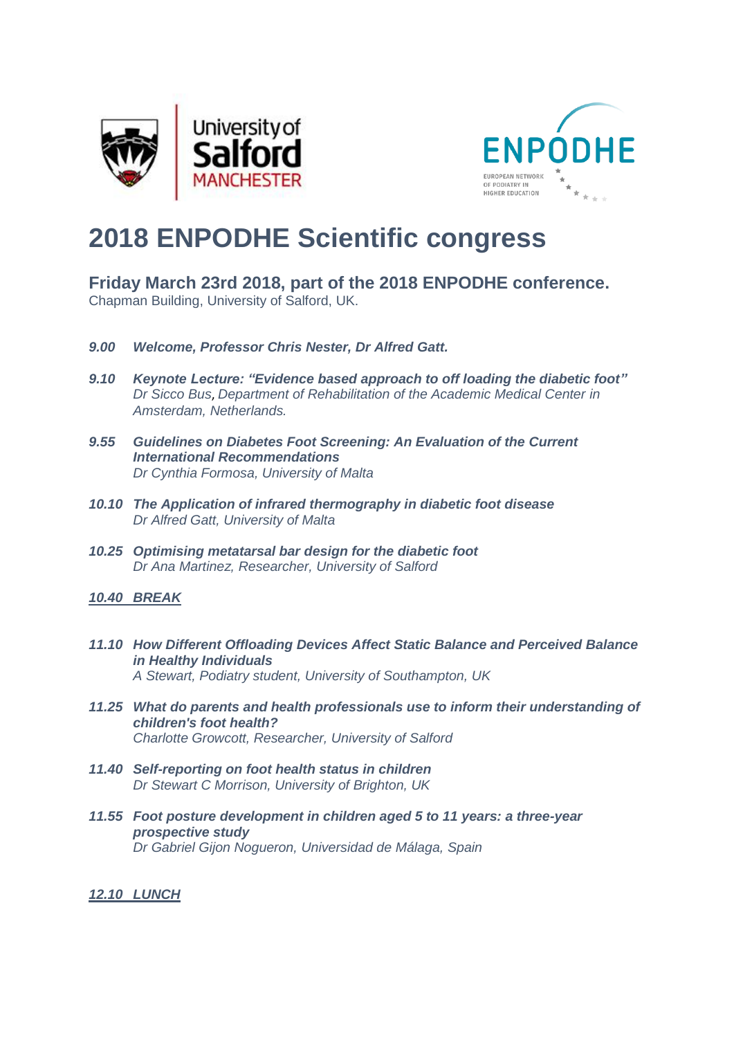



## **2018 ENPODHE Scientific congress**

**Friday March 23rd 2018, part of the 2018 ENPODHE conference.** Chapman Building, University of Salford, UK.

- *9.00 Welcome, Professor Chris Nester, Dr Alfred Gatt.*
- *9.10 Keynote Lecture: "Evidence based approach to off loading the diabetic foot" Dr Sicco Bus*, *Department of Rehabilitation of the Academic Medical Center in Amsterdam, Netherlands.*
- *9.55 Guidelines on Diabetes Foot Screening: An Evaluation of the Current International Recommendations Dr Cynthia Formosa, University of Malta*
- *10.10 The Application of infrared thermography in diabetic foot disease Dr Alfred Gatt, University of Malta*
- *10.25 Optimising metatarsal bar design for the diabetic foot Dr Ana Martinez, Researcher, University of Salford*

## *10.40 BREAK*

- *11.10 How Different Offloading Devices Affect Static Balance and Perceived Balance in Healthy Individuals A Stewart, Podiatry student, University of Southampton, UK*
- *11.25 What do parents and health professionals use to inform their understanding of children's foot health? Charlotte Growcott, Researcher, University of Salford*
- *11.40 Self-reporting on foot health status in children Dr Stewart C Morrison, University of Brighton, UK*
- *11.55 Foot posture development in children aged 5 to 11 years: a three-year prospective study Dr Gabriel Gijon Nogueron, Universidad de Málaga, Spain*

## *12.10 LUNCH*